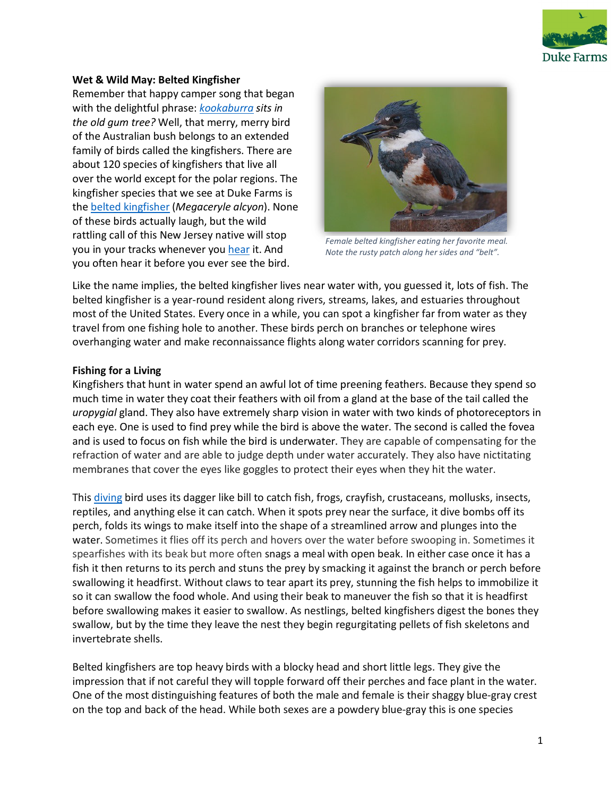

#### **Wet & Wild May: Belted Kingfisher**

Remember that happy camper song that began with the delightful phrase: *[kookaburra](https://www.youtube.com/watch?v=Fc_-icFHwQo) sits in the old gum tree?* Well, that merry, merry bird of the Australian bush belongs to an extended family of birds called the kingfishers. There are about 120 species of kingfishers that live all over the world except for the polar regions. The kingfisher species that we see at Duke Farms is the belted [kingfisher](https://www.allaboutbirds.org/guide/Belted_Kingfisher/overview) (*Megaceryle alcyon*). None of these birds actually laugh, but the wild rattling call of this New Jersey native will stop you in your tracks whenever you [hear](https://www.allaboutbirds.org/guide/Belted_Kingfisher/sounds) it. And you often hear it before you ever see the bird.



*Female belted kingfisher eating her favorite meal. Note the rusty patch along her sides and "belt".*

Like the name implies, the belted kingfisher lives near water with, you guessed it, lots of fish. The belted kingfisher is a year-round resident along rivers, streams, lakes, and estuaries throughout most of the United States. Every once in a while, you can spot a kingfisher far from water as they travel from one fishing hole to another. These birds perch on branches or telephone wires overhanging water and make reconnaissance flights along water corridors scanning for prey.

### **Fishing for a Living**

Kingfishers that hunt in water spend an awful lot of time preening feathers. Because they spend so much time in water they coat their feathers with oil from a gland at the base of the tail called the *uropygial* gland. They also have extremely sharp vision in water with two kinds of photoreceptors in each eye. One is used to find prey while the bird is above the water. The second is called the fovea and is used to focus on fish while the bird is underwater. They are capable of compensating for the refraction of water and are able to judge depth under water accurately. They also have nictitating membranes that cover the eyes like goggles to protect their eyes when they hit the water.

This [diving](https://www.youtube.com/watch?v=wF0Xxy61cBI) bird uses its dagger like bill to catch fish, frogs, crayfish, crustaceans, mollusks, insects, reptiles, and anything else it can catch. When it spots prey near the surface, it dive bombs off its perch, folds its wings to make itself into the shape of a streamlined arrow and plunges into the water. Sometimes it flies off its perch and hovers over the water before swooping in. Sometimes it spearfishes with its beak but more often snags a meal with open beak. In either case once it has a fish it then returns to its perch and stuns the prey by smacking it against the branch or perch before swallowing it headfirst. Without claws to tear apart its prey, stunning the fish helps to immobilize it so it can swallow the food whole. And using their beak to maneuver the fish so that it is headfirst before swallowing makes it easier to swallow. As nestlings, belted kingfishers digest the bones they swallow, but by the time they leave the nest they begin regurgitating pellets of fish skeletons and invertebrate shells.

Belted kingfishers are top heavy birds with a blocky head and short little legs. They give the impression that if not careful they will topple forward off their perches and face plant in the water. One of the most distinguishing features of both the male and female is their shaggy blue-gray crest on the top and back of the head. While both sexes are a powdery blue-gray this is one species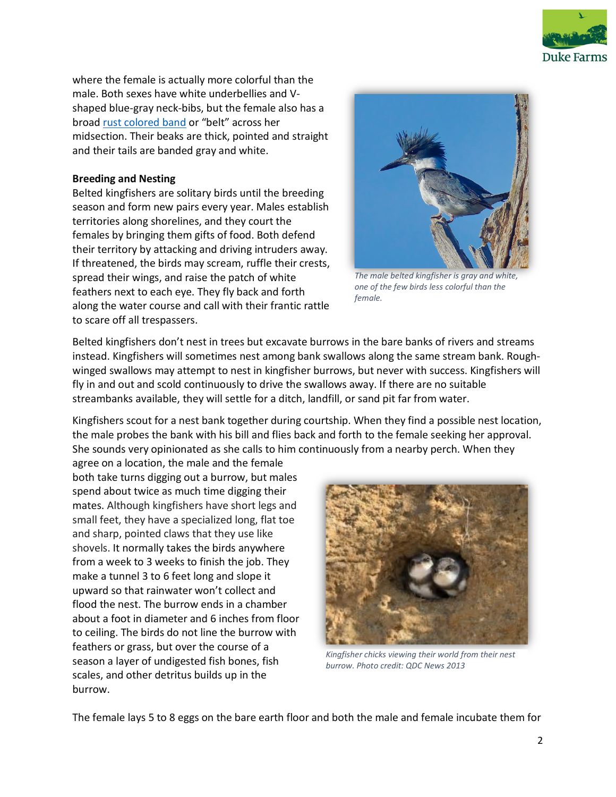

where the female is actually more colorful than the male. Both sexes have white underbellies and Vshaped blue-gray neck-bibs, but the female also has a broad rust [colored band](https://www.allaboutbirds.org/news/why-do-female-belted-kingfishers-have-an-extra-rust-colored-belt-that-the-males-dont-have/) or "belt" across her midsection. Their beaks are thick, pointed and straight and their tails are banded gray and white.

# **Breeding and Nesting**

Belted kingfishers are solitary birds until the breeding season and form new pairs every year. Males establish territories along shorelines, and they court the females by bringing them gifts of food. Both defend their territory by attacking and driving intruders away. If threatened, the birds may scream, ruffle their crests, spread their wings, and raise the patch of white feathers next to each eye. They fly back and forth along the water course and call with their frantic rattle to scare off all trespassers.



*The male belted kingfisher is gray and white, one of the few birds less colorful than the female.*

Belted kingfishers don't nest in trees but excavate burrows in the bare banks of rivers and streams instead. Kingfishers will sometimes nest among bank swallows along the same stream bank. Roughwinged swallows may attempt to nest in kingfisher burrows, but never with success. Kingfishers will fly in and out and scold continuously to drive the swallows away. If there are no suitable streambanks available, they will settle for a ditch, landfill, or sand pit far from water.

Kingfishers scout for a nest bank together during courtship. When they find a possible nest location, the male probes the bank with his bill and flies back and forth to the female seeking her approval. She sounds very opinionated as she calls to him continuously from a nearby perch. When they

agree on a location, the male and the female both take turns digging out a burrow, but males spend about twice as much time digging their mates. Although kingfishers have short legs and small feet, they have a specialized long, flat toe and sharp, pointed claws that they use like shovels. It normally takes the birds anywhere from a week to 3 weeks to finish the job. They make a tunnel 3 to 6 feet long and slope it upward so that rainwater won't collect and flood the nest. The burrow ends in a chamber about a foot in diameter and 6 inches from floor to ceiling. The birds do not line the burrow with feathers or grass, but over the course of a season a layer of undigested fish bones, fish scales, and other detritus builds up in the burrow.



*Kingfisher chicks viewing their world from their nest burrow. Photo credit: QDC News 2013*

The female lays 5 to 8 eggs on the bare earth floor and both the male and female incubate them for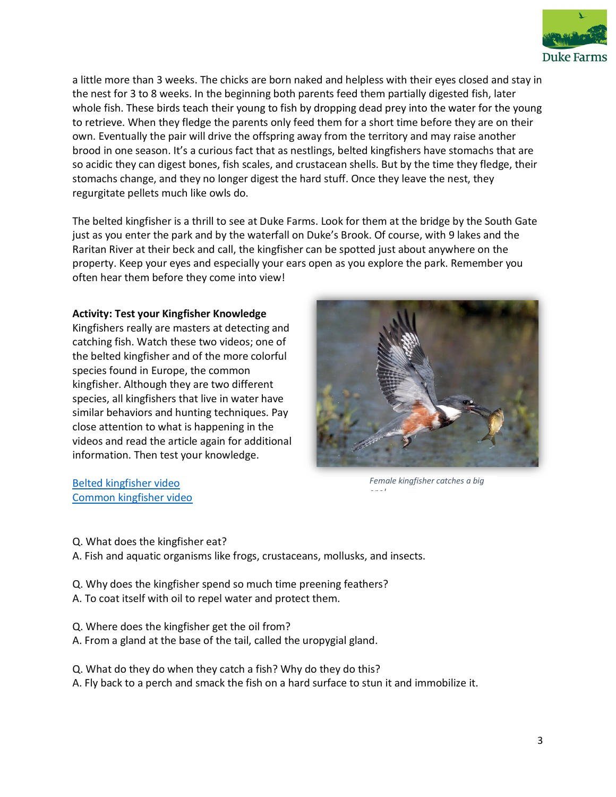

a little more than 3 weeks. The chicks are born naked and helpless with their eyes closed and stay in the nest for 3 to 8 weeks. In the beginning both parents feed them partially digested fish, later whole fish. These birds teach their young to fish by dropping dead prey into the water for the young to retrieve. When they fledge the parents only feed them for a short time before they are on their own. Eventually the pair will drive the offspring away from the territory and may raise another brood in one season. It's a curious fact that as nestlings, belted kingfishers have stomachs that are so acidic they can digest bones, fish scales, and crustacean shells. But by the time they fledge, their stomachs change, and they no longer digest the hard stuff. Once they leave the nest, they regurgitate pellets much like owls do.

The belted kingfisher is a thrill to see at Duke Farms. Look for them at the bridge by the South Gate just as you enter the park and by the waterfall on Duke's Brook. Of course, with 9 lakes and the Raritan River at their beck and call, the kingfisher can be spotted just about anywhere on the property. Keep your eyes and especially your ears open as you explore the park. Remember you often hear them before they come into view!

# **Activity: Test your Kingfisher Knowledge**

Kingfishers really are masters at detecting and catching fish. Watch these two videos; one of the belted kingfisher and of the more colorful species found in Europe, the common kingfisher. Although they are two different species, all kingfishers that live in water have similar behaviors and hunting techniques. Pay close attention to what is happening in the videos and read the article again for additional information. Then test your knowledge.



*Female kingfisher catches a big one!* 

[Belted kingfisher video](https://www.youtube.com/watch?v=wF0Xxy61cBI) [Common kingfisher video](https://www.youtube.com/watch?v=82o224s-Au8)

Q. What does the kingfisher eat?

A. Fish and aquatic organisms like frogs, crustaceans, mollusks, and insects.

- Q. Why does the kingfisher spend so much time preening feathers?
- A. To coat itself with oil to repel water and protect them.
- Q. Where does the kingfisher get the oil from?
- A. From a gland at the base of the tail, called the uropygial gland.
- Q. What do they do when they catch a fish? Why do they do this?
- A. Fly back to a perch and smack the fish on a hard surface to stun it and immobilize it.